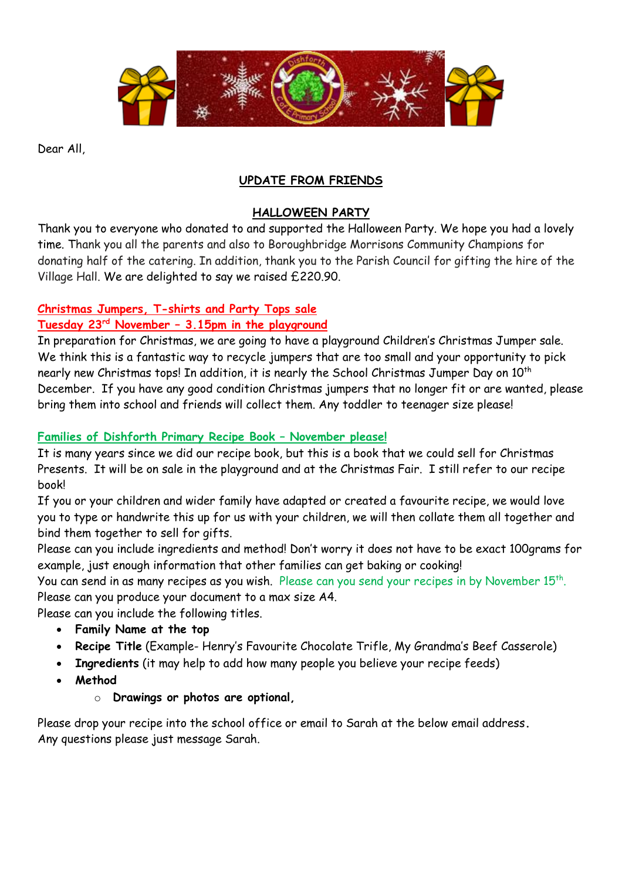

Dear All,

# **UPDATE FROM FRIENDS**

### **HALLOWEEN PARTY**

Thank you to everyone who donated to and supported the Halloween Party. We hope you had a lovely time. Thank you all the parents and also to Boroughbridge Morrisons Community Champions for donating half of the catering. In addition, thank you to the Parish Council for gifting the hire of the Village Hall. We are delighted to say we raised £220.90.

### **Christmas Jumpers, T-shirts and Party Tops sale**

### **Tuesday 23rd November – 3.15pm in the playground**

In preparation for Christmas, we are going to have a playground Children's Christmas Jumper sale. We think this is a fantastic way to recycle jumpers that are too small and your opportunity to pick nearly new Christmas tops! In addition, it is nearly the School Christmas Jumper Day on 10<sup>th</sup> December. If you have any good condition Christmas jumpers that no longer fit or are wanted, please bring them into school and friends will collect them. Any toddler to teenager size please!

### **Families of Dishforth Primary Recipe Book – November please!**

It is many years since we did our recipe book, but this is a book that we could sell for Christmas Presents. It will be on sale in the playground and at the Christmas Fair. I still refer to our recipe book!

If you or your children and wider family have adapted or created a favourite recipe, we would love you to type or handwrite this up for us with your children, we will then collate them all together and bind them together to sell for gifts.

Please can you include ingredients and method! Don't worry it does not have to be exact 100grams for example, just enough information that other families can get baking or cooking!

You can send in as many recipes as you wish. Please can you send your recipes in by November  $15^{\text{th}}$ . Please can you produce your document to a max size A4.

Please can you include the following titles.

- **Family Name at the top**
- **Recipe Title** (Example- Henry's Favourite Chocolate Trifle, My Grandma's Beef Casserole)
- **Ingredients** (it may help to add how many people you believe your recipe feeds)
- **Method**
	- o **Drawings or photos are optional,**

Please drop your recipe into the school office or email to Sarah at the below email address**.**  Any questions please just message Sarah.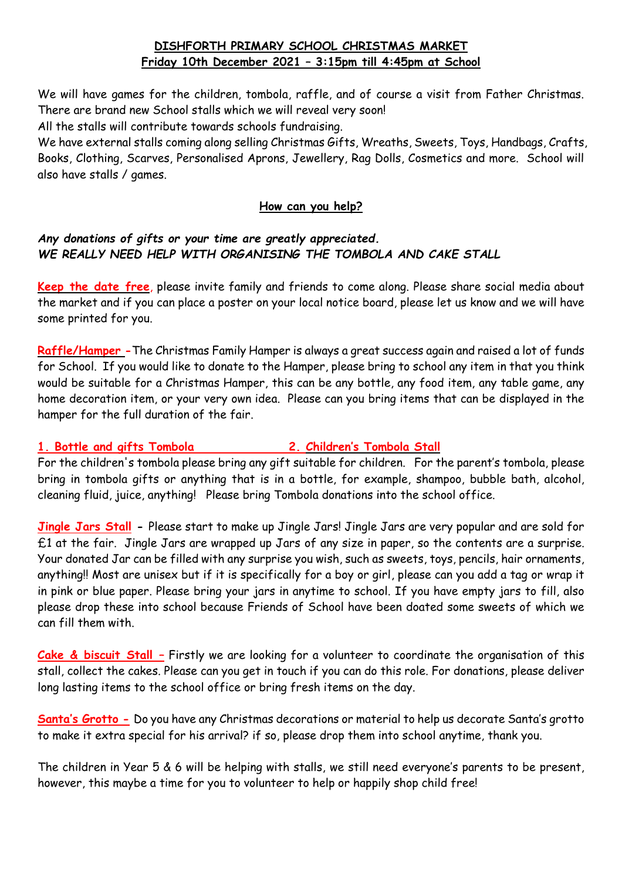# **DISHFORTH PRIMARY SCHOOL CHRISTMAS MARKET Friday 10th December 2021 – 3:15pm till 4:45pm at School**

We will have games for the children, tombola, raffle, and of course a visit from Father Christmas. There are brand new School stalls which we will reveal very soon!

All the stalls will contribute towards schools fundraising.

We have external stalls coming along selling Christmas Gifts, Wreaths, Sweets, Toys, Handbags, Crafts, Books, Clothing, Scarves, Personalised Aprons, Jewellery, Rag Dolls, Cosmetics and more. School will also have stalls / games.

#### **How can you help?**

### *Any donations of gifts or your time are greatly appreciated. WE REALLY NEED HELP WITH ORGANISING THE TOMBOLA AND CAKE STALL*

**Keep the date free**, please invite family and friends to come along. Please share social media about the market and if you can place a poster on your local notice board, please let us know and we will have some printed for you.

**Raffle/Hamper -**The Christmas Family Hamper is always a great success again and raised a lot of funds for School. If you would like to donate to the Hamper, please bring to school any item in that you think would be suitable for a Christmas Hamper, this can be any bottle, any food item, any table game, any home decoration item, or your very own idea. Please can you bring items that can be displayed in the hamper for the full duration of the fair.

## **1. Bottle and gifts Tombola 2. Children's Tombola Stall**

For the children's tombola please bring any gift suitable for children. For the parent's tombola, please bring in tombola gifts or anything that is in a bottle, for example, shampoo, bubble bath, alcohol, cleaning fluid, juice, anything!Please bring Tombola donations into the school office.

**Jingle Jars Stall -** Please start to make up Jingle Jars! Jingle Jars are very popular and are sold for £1 at the fair. Jingle Jars are wrapped up Jars of any size in paper, so the contents are a surprise. Your donated Jar can be filled with any surprise you wish, such as sweets, toys, pencils, hair ornaments, anything!! Most are unisex but if it is specifically for a boy or girl, please can you add a tag or wrap it in pink or blue paper. Please bring your jars in anytime to school. If you have empty jars to fill, also please drop these into school because Friends of School have been doated some sweets of which we can fill them with.

**Cake & biscuit Stall –** Firstly we are looking for a volunteer to coordinate the organisation of this stall, collect the cakes. Please can you get in touch if you can do this role. For donations, please deliver long lasting items to the school office or bring fresh items on the day.

**Santa's Grotto -** Do you have any Christmas decorations or material to help us decorate Santa's grotto to make it extra special for his arrival? if so, please drop them into school anytime, thank you.

The children in Year 5 & 6 will be helping with stalls, we still need everyone's parents to be present, however, this maybe a time for you to volunteer to help or happily shop child free!